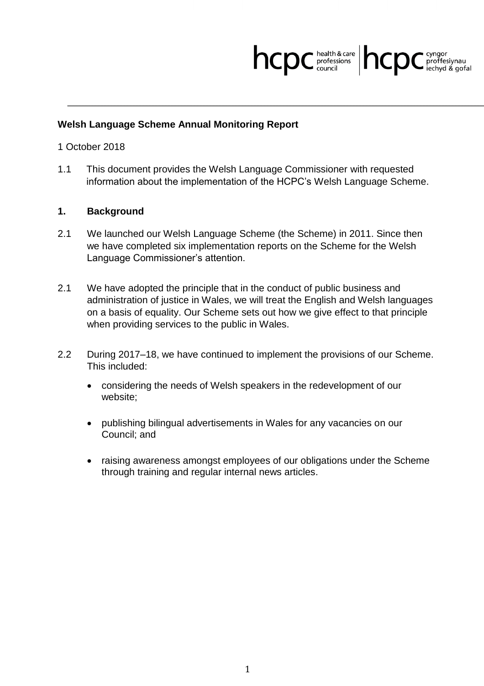## hcpc **bealth & care** hcpc C cyngor

## **Welsh Language Scheme Annual Monitoring Report**

## 1 October 2018

1.1 This document provides the Welsh Language Commissioner with requested information about the implementation of the HCPC's Welsh Language Scheme.

## **1. Background**

- 2.1 We launched our Welsh Language Scheme (the Scheme) in 2011. Since then we have completed six implementation reports on the Scheme for the Welsh Language Commissioner's attention.
- 2.1 We have adopted the principle that in the conduct of public business and administration of justice in Wales, we will treat the English and Welsh languages on a basis of equality. Our Scheme sets out how we give effect to that principle when providing services to the public in Wales.
- 2.2 During 2017–18, we have continued to implement the provisions of our Scheme. This included:
	- considering the needs of Welsh speakers in the redevelopment of our website;
	- publishing bilingual advertisements in Wales for any vacancies on our Council; and
	- raising awareness amongst employees of our obligations under the Scheme through training and regular internal news articles.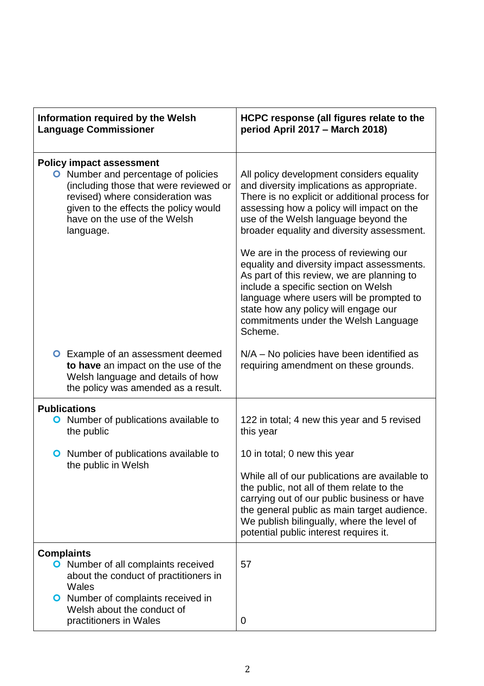| Information required by the Welsh<br><b>Language Commissioner</b>                                                                                                                                                                                 | HCPC response (all figures relate to the<br>period April 2017 - March 2018)                                                                                                                                                                                                                                                                                                                                                                                                                                                                                                                      |
|---------------------------------------------------------------------------------------------------------------------------------------------------------------------------------------------------------------------------------------------------|--------------------------------------------------------------------------------------------------------------------------------------------------------------------------------------------------------------------------------------------------------------------------------------------------------------------------------------------------------------------------------------------------------------------------------------------------------------------------------------------------------------------------------------------------------------------------------------------------|
| <b>Policy impact assessment</b><br><b>O</b> Number and percentage of policies<br>(including those that were reviewed or<br>revised) where consideration was<br>given to the effects the policy would<br>have on the use of the Welsh<br>language. | All policy development considers equality<br>and diversity implications as appropriate.<br>There is no explicit or additional process for<br>assessing how a policy will impact on the<br>use of the Welsh language beyond the<br>broader equality and diversity assessment.<br>We are in the process of reviewing our<br>equality and diversity impact assessments.<br>As part of this review, we are planning to<br>include a specific section on Welsh<br>language where users will be prompted to<br>state how any policy will engage our<br>commitments under the Welsh Language<br>Scheme. |
| <b>O</b> Example of an assessment deemed<br>to have an impact on the use of the<br>Welsh language and details of how<br>the policy was amended as a result.                                                                                       | N/A – No policies have been identified as<br>requiring amendment on these grounds.                                                                                                                                                                                                                                                                                                                                                                                                                                                                                                               |
| <b>Publications</b>                                                                                                                                                                                                                               |                                                                                                                                                                                                                                                                                                                                                                                                                                                                                                                                                                                                  |
| <b>O</b> Number of publications available to<br>the public                                                                                                                                                                                        | 122 in total; 4 new this year and 5 revised<br>this year                                                                                                                                                                                                                                                                                                                                                                                                                                                                                                                                         |
| Number of publications available to<br>O                                                                                                                                                                                                          | 10 in total; 0 new this year                                                                                                                                                                                                                                                                                                                                                                                                                                                                                                                                                                     |
| the public in Welsh                                                                                                                                                                                                                               | While all of our publications are available to<br>the public, not all of them relate to the<br>carrying out of our public business or have<br>the general public as main target audience.<br>We publish bilingually, where the level of<br>potential public interest requires it.                                                                                                                                                                                                                                                                                                                |
| <b>Complaints</b>                                                                                                                                                                                                                                 |                                                                                                                                                                                                                                                                                                                                                                                                                                                                                                                                                                                                  |
| <b>O</b> Number of all complaints received<br>about the conduct of practitioners in<br>Wales                                                                                                                                                      | 57                                                                                                                                                                                                                                                                                                                                                                                                                                                                                                                                                                                               |
| <b>O</b> Number of complaints received in<br>Welsh about the conduct of<br>practitioners in Wales                                                                                                                                                 | 0                                                                                                                                                                                                                                                                                                                                                                                                                                                                                                                                                                                                |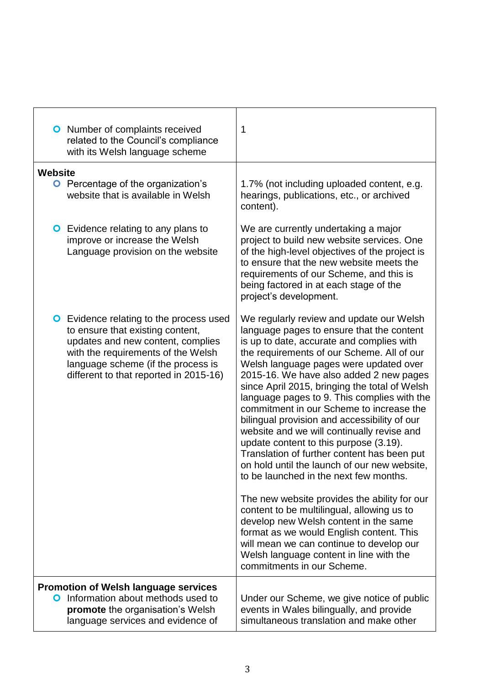| <b>O</b> Number of complaints received<br>related to the Council's compliance<br>with its Welsh language scheme                                                                                                                               | 1                                                                                                                                                                                                                                                                                                                                                                                                                                                                                                                                                                                                                                                                                                                                                                                                                                                                                                                                                                                                          |
|-----------------------------------------------------------------------------------------------------------------------------------------------------------------------------------------------------------------------------------------------|------------------------------------------------------------------------------------------------------------------------------------------------------------------------------------------------------------------------------------------------------------------------------------------------------------------------------------------------------------------------------------------------------------------------------------------------------------------------------------------------------------------------------------------------------------------------------------------------------------------------------------------------------------------------------------------------------------------------------------------------------------------------------------------------------------------------------------------------------------------------------------------------------------------------------------------------------------------------------------------------------------|
| <b>Website</b>                                                                                                                                                                                                                                |                                                                                                                                                                                                                                                                                                                                                                                                                                                                                                                                                                                                                                                                                                                                                                                                                                                                                                                                                                                                            |
| <b>O</b> Percentage of the organization's<br>website that is available in Welsh                                                                                                                                                               | 1.7% (not including uploaded content, e.g.<br>hearings, publications, etc., or archived<br>content).                                                                                                                                                                                                                                                                                                                                                                                                                                                                                                                                                                                                                                                                                                                                                                                                                                                                                                       |
| <b>O</b> Evidence relating to any plans to<br>improve or increase the Welsh<br>Language provision on the website                                                                                                                              | We are currently undertaking a major<br>project to build new website services. One<br>of the high-level objectives of the project is<br>to ensure that the new website meets the<br>requirements of our Scheme, and this is<br>being factored in at each stage of the<br>project's development.                                                                                                                                                                                                                                                                                                                                                                                                                                                                                                                                                                                                                                                                                                            |
| <b>O</b> Evidence relating to the process used<br>to ensure that existing content,<br>updates and new content, complies<br>with the requirements of the Welsh<br>language scheme (if the process is<br>different to that reported in 2015-16) | We regularly review and update our Welsh<br>language pages to ensure that the content<br>is up to date, accurate and complies with<br>the requirements of our Scheme. All of our<br>Welsh language pages were updated over<br>2015-16. We have also added 2 new pages<br>since April 2015, bringing the total of Welsh<br>language pages to 9. This complies with the<br>commitment in our Scheme to increase the<br>bilingual provision and accessibility of our<br>website and we will continually revise and<br>update content to this purpose (3.19).<br>Translation of further content has been put<br>on hold until the launch of our new website,<br>to be launched in the next few months.<br>The new website provides the ability for our<br>content to be multilingual, allowing us to<br>develop new Welsh content in the same<br>format as we would English content. This<br>will mean we can continue to develop our<br>Welsh language content in line with the<br>commitments in our Scheme. |
| <b>Promotion of Welsh language services</b><br>Information about methods used to<br>0<br>promote the organisation's Welsh<br>language services and evidence of                                                                                | Under our Scheme, we give notice of public<br>events in Wales bilingually, and provide<br>simultaneous translation and make other                                                                                                                                                                                                                                                                                                                                                                                                                                                                                                                                                                                                                                                                                                                                                                                                                                                                          |